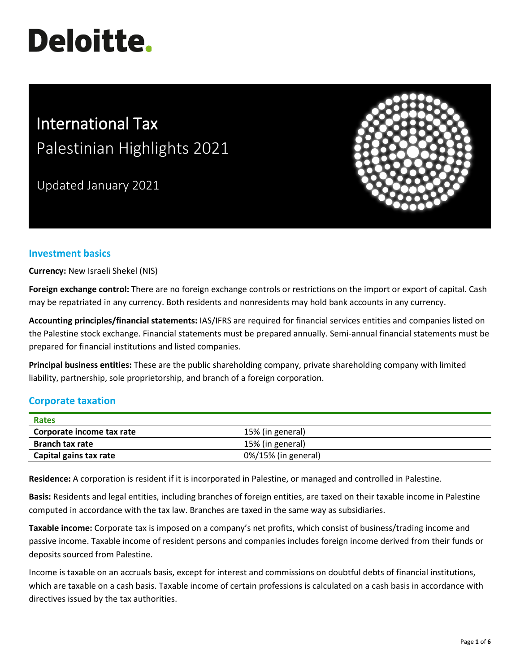# **Deloitte.**

# International Tax Palestinian Highlights 2021

Updated January 2021



# **Investment basics**

**Currency:** New Israeli Shekel (NIS)

**Foreign exchange control:** There are no foreign exchange controls or restrictions on the import or export of capital. Cash may be repatriated in any currency. Both residents and nonresidents may hold bank accounts in any currency.

**Accounting principles/financial statements:** IAS/IFRS are required for financial services entities and companies listed on the Palestine stock exchange. Financial statements must be prepared annually. Semi-annual financial statements must be prepared for financial institutions and listed companies.

**Principal business entities:** These are the public shareholding company, private shareholding company with limited liability, partnership, sole proprietorship, and branch of a foreign corporation.

# **Corporate taxation**

| Rates                     |                     |  |
|---------------------------|---------------------|--|
| Corporate income tax rate | 15% (in general)    |  |
| <b>Branch tax rate</b>    | 15% (in general)    |  |
| Capital gains tax rate    | 0%/15% (in general) |  |

**Residence:** A corporation is resident if it is incorporated in Palestine, or managed and controlled in Palestine.

**Basis:** Residents and legal entities, including branches of foreign entities, are taxed on their taxable income in Palestine computed in accordance with the tax law. Branches are taxed in the same way as subsidiaries.

**Taxable income:** Corporate tax is imposed on a company's net profits, which consist of business/trading income and passive income. Taxable income of resident persons and companies includes foreign income derived from their funds or deposits sourced from Palestine.

Income is taxable on an accruals basis, except for interest and commissions on doubtful debts of financial institutions, which are taxable on a cash basis. Taxable income of certain professions is calculated on a cash basis in accordance with directives issued by the tax authorities.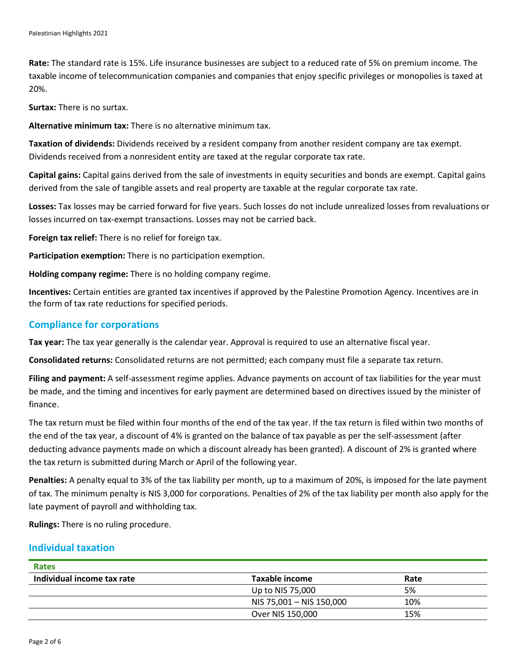**Rate:** The standard rate is 15%. Life insurance businesses are subject to a reduced rate of 5% on premium income. The taxable income of telecommunication companies and companies that enjoy specific privileges or monopolies is taxed at 20%.

**Surtax:** There is no surtax.

**Alternative minimum tax:** There is no alternative minimum tax.

**Taxation of dividends:** Dividends received by a resident company from another resident company are tax exempt. Dividends received from a nonresident entity are taxed at the regular corporate tax rate.

**Capital gains:** Capital gains derived from the sale of investments in equity securities and bonds are exempt. Capital gains derived from the sale of tangible assets and real property are taxable at the regular corporate tax rate.

**Losses:** Tax losses may be carried forward for five years. Such losses do not include unrealized losses from revaluations or losses incurred on tax-exempt transactions. Losses may not be carried back.

**Foreign tax relief:** There is no relief for foreign tax.

**Participation exemption:** There is no participation exemption.

**Holding company regime:** There is no holding company regime.

**Incentives:** Certain entities are granted tax incentives if approved by the Palestine Promotion Agency. Incentives are in the form of tax rate reductions for specified periods.

# **Compliance for corporations**

**Tax year:** The tax year generally is the calendar year. Approval is required to use an alternative fiscal year.

**Consolidated returns:** Consolidated returns are not permitted; each company must file a separate tax return.

**Filing and payment:** A self-assessment regime applies. Advance payments on account of tax liabilities for the year must be made, and the timing and incentives for early payment are determined based on directives issued by the minister of finance.

The tax return must be filed within four months of the end of the tax year. If the tax return is filed within two months of the end of the tax year, a discount of 4% is granted on the balance of tax payable as per the self-assessment (after deducting advance payments made on which a discount already has been granted). A discount of 2% is granted where the tax return is submitted during March or April of the following year.

**Penalties:** A penalty equal to 3% of the tax liability per month, up to a maximum of 20%, is imposed for the late payment of tax. The minimum penalty is NIS 3,000 for corporations. Penalties of 2% of the tax liability per month also apply for the late payment of payroll and withholding tax.

**Rulings:** There is no ruling procedure.

# **Individual taxation**

| Rates                      |                          |      |  |
|----------------------------|--------------------------|------|--|
| Individual income tax rate | Taxable income           | Rate |  |
|                            | Up to NIS 75,000         | 5%   |  |
|                            | NIS 75,001 - NIS 150,000 | 10%  |  |
|                            | Over NIS 150,000         | 15%  |  |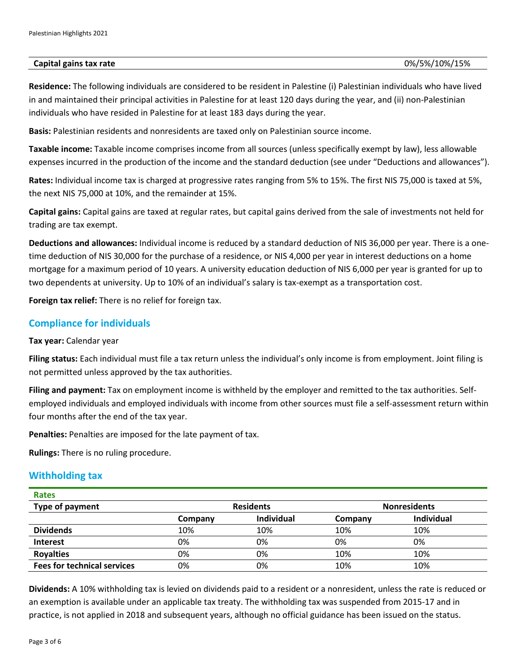#### **Capital gains tax rate** 0%/5%/10%/15%

**Residence:** The following individuals are considered to be resident in Palestine (i) Palestinian individuals who have lived in and maintained their principal activities in Palestine for at least 120 days during the year, and (ii) non-Palestinian individuals who have resided in Palestine for at least 183 days during the year.

**Basis:** Palestinian residents and nonresidents are taxed only on Palestinian source income.

**Taxable income:** Taxable income comprises income from all sources (unless specifically exempt by law), less allowable expenses incurred in the production of the income and the standard deduction (see under "Deductions and allowances").

**Rates:** Individual income tax is charged at progressive rates ranging from 5% to 15%. The first NIS 75,000 is taxed at 5%, the next NIS 75,000 at 10%, and the remainder at 15%.

**Capital gains:** Capital gains are taxed at regular rates, but capital gains derived from the sale of investments not held for trading are tax exempt.

**Deductions and allowances:** Individual income is reduced by a standard deduction of NIS 36,000 per year. There is a onetime deduction of NIS 30,000 for the purchase of a residence, or NIS 4,000 per year in interest deductions on a home mortgage for a maximum period of 10 years. A university education deduction of NIS 6,000 per year is granted for up to two dependents at university. Up to 10% of an individual's salary is tax-exempt as a transportation cost.

**Foreign tax relief:** There is no relief for foreign tax.

# **Compliance for individuals**

**Tax year:** Calendar year

**Filing status:** Each individual must file a tax return unless the individual's only income is from employment. Joint filing is not permitted unless approved by the tax authorities.

**Filing and payment:** Tax on employment income is withheld by the employer and remitted to the tax authorities. Selfemployed individuals and employed individuals with income from other sources must file a self-assessment return within four months after the end of the tax year.

**Penalties:** Penalties are imposed for the late payment of tax.

**Rulings:** There is no ruling procedure.

## **Withholding tax**

| <b>Rates</b>                       |         |                   |         |                     |  |
|------------------------------------|---------|-------------------|---------|---------------------|--|
| <b>Type of payment</b>             |         | <b>Residents</b>  |         | <b>Nonresidents</b> |  |
|                                    | Company | <b>Individual</b> | Company | <b>Individual</b>   |  |
| <b>Dividends</b>                   | 10%     | 10%               | 10%     | 10%                 |  |
| <b>Interest</b>                    | 0%      | 0%                | 0%      | 0%                  |  |
| <b>Royalties</b>                   | 0%      | 0%                | 10%     | 10%                 |  |
| <b>Fees for technical services</b> | 0%      | 0%                | 10%     | 10%                 |  |

**Dividends:** A 10% withholding tax is levied on dividends paid to a resident or a nonresident, unless the rate is reduced or an exemption is available under an applicable tax treaty. The withholding tax was suspended from 2015-17 and in practice, is not applied in 2018 and subsequent years, although no official guidance has been issued on the status.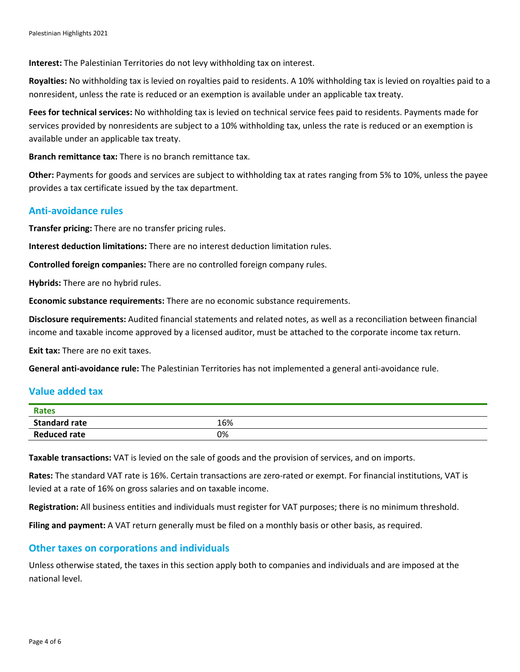**Interest:** The Palestinian Territories do not levy withholding tax on interest.

**Royalties:** No withholding tax is levied on royalties paid to residents. A 10% withholding tax is levied on royalties paid to a nonresident, unless the rate is reduced or an exemption is available under an applicable tax treaty.

**Fees for technical services:** No withholding tax is levied on technical service fees paid to residents. Payments made for services provided by nonresidents are subject to a 10% withholding tax, unless the rate is reduced or an exemption is available under an applicable tax treaty.

**Branch remittance tax:** There is no branch remittance tax.

**Other:** Payments for goods and services are subject to withholding tax at rates ranging from 5% to 10%, unless the payee provides a tax certificate issued by the tax department.

# **Anti-avoidance rules**

**Transfer pricing:** There are no transfer pricing rules.

**Interest deduction limitations:** There are no interest deduction limitation rules.

**Controlled foreign companies:** There are no controlled foreign company rules.

**Hybrids:** There are no hybrid rules.

**Economic substance requirements:** There are no economic substance requirements.

**Disclosure requirements:** Audited financial statements and related notes, as well as a reconciliation between financial income and taxable income approved by a licensed auditor, must be attached to the corporate income tax return.

**Exit tax:** There are no exit taxes.

**General anti-avoidance rule:** The Palestinian Territories has not implemented a general anti-avoidance rule.

# **Value added tax**

| <b>Rates</b>         |     |
|----------------------|-----|
| <b>Standard rate</b> | 16% |
| <b>Reduced rate</b>  | 0%  |

**Taxable transactions:** VAT is levied on the sale of goods and the provision of services, and on imports.

**Rates:** The standard VAT rate is 16%. Certain transactions are zero-rated or exempt. For financial institutions, VAT is levied at a rate of 16% on gross salaries and on taxable income.

**Registration:** All business entities and individuals must register for VAT purposes; there is no minimum threshold.

**Filing and payment:** A VAT return generally must be filed on a monthly basis or other basis, as required.

## **Other taxes on corporations and individuals**

Unless otherwise stated, the taxes in this section apply both to companies and individuals and are imposed at the national level.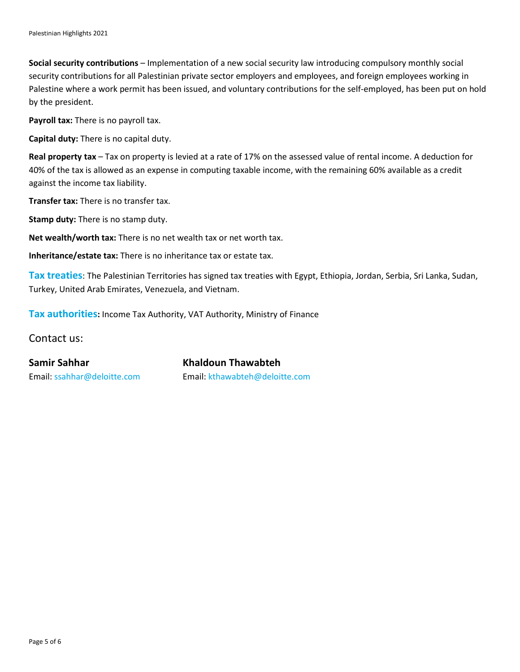**Social security contributions** – Implementation of a new social security law introducing compulsory monthly social security contributions for all Palestinian private sector employers and employees, and foreign employees working in Palestine where a work permit has been issued, and voluntary contributions for the self-employed, has been put on hold by the president.

**Payroll tax:** There is no payroll tax.

**Capital duty:** There is no capital duty.

**Real property tax** – Tax on property is levied at a rate of 17% on the assessed value of rental income. A deduction for 40% of the tax is allowed as an expense in computing taxable income, with the remaining 60% available as a credit against the income tax liability.

**Transfer tax:** There is no transfer tax.

**Stamp duty:** There is no stamp duty.

**Net wealth/worth tax:** There is no net wealth tax or net worth tax.

**Inheritance/estate tax:** There is no inheritance tax or estate tax.

**Tax treaties**: The Palestinian Territories has signed tax treaties with Egypt, Ethiopia, Jordan, Serbia, Sri Lanka, Sudan, Turkey, United Arab Emirates, Venezuela, and Vietnam.

**Tax authorities:** Income Tax Authority, VAT Authority, Ministry of Finance

Contact us:

**Samir Sahhar Khaldoun Thawabteh** Email: [ssahhar@deloitte.com](mailto:ssahhar@deloitte.com) Email: [kthawabteh@deloitte.com](mailto:kthawabteh@deloitte.com)